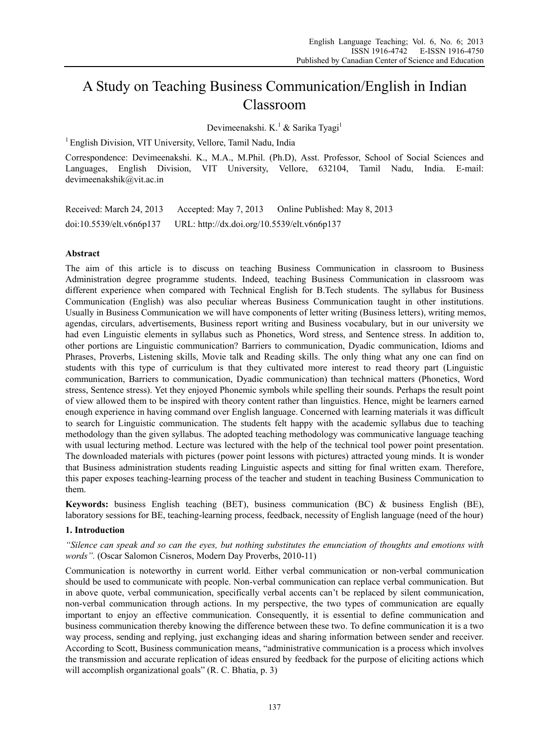# A Study on Teaching Business Communication/English in Indian Classroom

Devimeenakshi. K.<sup>1</sup> & Sarika Tyagi<sup>1</sup>

<sup>1</sup> English Division, VIT University, Vellore, Tamil Nadu, India

Correspondence: Devimeenakshi. K., M.A., M.Phil. (Ph.D), Asst. Professor, School of Social Sciences and Languages, English Division, VIT University, Vellore, 632104, Tamil Nadu, India. E-mail: devimeenakshik@vit.ac.in

Received: March 24, 2013 Accepted: May 7, 2013 Online Published: May 8, 2013 doi:10.5539/elt.v6n6p137 URL: http://dx.doi.org/10.5539/elt.v6n6p137

### **Abstract**

The aim of this article is to discuss on teaching Business Communication in classroom to Business Administration degree programme students. Indeed, teaching Business Communication in classroom was different experience when compared with Technical English for B.Tech students. The syllabus for Business Communication (English) was also peculiar whereas Business Communication taught in other institutions. Usually in Business Communication we will have components of letter writing (Business letters), writing memos, agendas, circulars, advertisements, Business report writing and Business vocabulary, but in our university we had even Linguistic elements in syllabus such as Phonetics, Word stress, and Sentence stress. In addition to, other portions are Linguistic communication? Barriers to communication, Dyadic communication, Idioms and Phrases, Proverbs, Listening skills, Movie talk and Reading skills. The only thing what any one can find on students with this type of curriculum is that they cultivated more interest to read theory part (Linguistic communication, Barriers to communication, Dyadic communication) than technical matters (Phonetics, Word stress, Sentence stress). Yet they enjoyed Phonemic symbols while spelling their sounds. Perhaps the result point of view allowed them to be inspired with theory content rather than linguistics. Hence, might be learners earned enough experience in having command over English language. Concerned with learning materials it was difficult to search for Linguistic communication. The students felt happy with the academic syllabus due to teaching methodology than the given syllabus. The adopted teaching methodology was communicative language teaching with usual lecturing method. Lecture was lectured with the help of the technical tool power point presentation. The downloaded materials with pictures (power point lessons with pictures) attracted young minds. It is wonder that Business administration students reading Linguistic aspects and sitting for final written exam. Therefore, this paper exposes teaching-learning process of the teacher and student in teaching Business Communication to them.

**Keywords:** business English teaching (BET), business communication (BC) & business English (BE), laboratory sessions for BE, teaching-learning process, feedback, necessity of English language (need of the hour)

### **1. Introduction**

*"Silence can speak and so can the eyes, but nothing substitutes the enunciation of thoughts and emotions with words".* (Oscar Salomon Cisneros, Modern Day Proverbs, 2010-11)

Communication is noteworthy in current world. Either verbal communication or non-verbal communication should be used to communicate with people. Non-verbal communication can replace verbal communication. But in above quote, verbal communication, specifically verbal accents can't be replaced by silent communication, non-verbal communication through actions. In my perspective, the two types of communication are equally important to enjoy an effective communication. Consequently, it is essential to define communication and business communication thereby knowing the difference between these two. To define communication it is a two way process, sending and replying, just exchanging ideas and sharing information between sender and receiver. According to Scott, Business communication means, "administrative communication is a process which involves the transmission and accurate replication of ideas ensured by feedback for the purpose of eliciting actions which will accomplish organizational goals" (R. C. Bhatia, p. 3)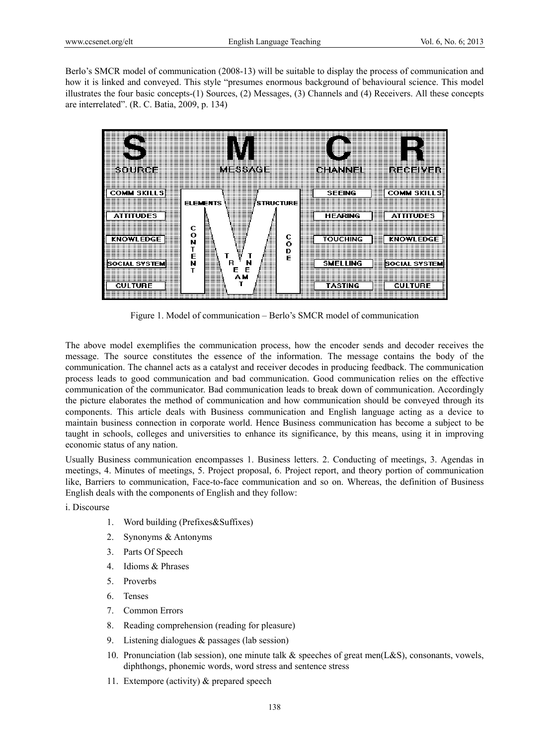Berlo's SMCR model of communication (2008-13) will be suitable to display the process of communication and how it is linked and conveyed. This style "presumes enormous background of behavioural science. This model illustrates the four basic concepts-(1) Sources, (2) Messages, (3) Channels and (4) Receivers. All these concepts are interrelated". (R. C. Batia, 2009, p. 134)



Figure 1. Model of communication – Berlo's SMCR model of communication

The above model exemplifies the communication process, how the encoder sends and decoder receives the message. The source constitutes the essence of the information. The message contains the body of the communication. The channel acts as a catalyst and receiver decodes in producing feedback. The communication process leads to good communication and bad communication. Good communication relies on the effective communication of the communicator. Bad communication leads to break down of communication. Accordingly the picture elaborates the method of communication and how communication should be conveyed through its components. This article deals with Business communication and English language acting as a device to maintain business connection in corporate world. Hence Business communication has become a subject to be taught in schools, colleges and universities to enhance its significance, by this means, using it in improving economic status of any nation.

Usually Business communication encompasses 1. Business letters. 2. Conducting of meetings, 3. Agendas in meetings, 4. Minutes of meetings, 5. Project proposal, 6. Project report, and theory portion of communication like, Barriers to communication, Face-to-face communication and so on. Whereas, the definition of Business English deals with the components of English and they follow:

i. Discourse

- 1. Word building (Prefixes&Suffixes)
- 2. Synonyms & Antonyms
- 3. Parts Of Speech
- 4. Idioms & Phrases
- 5. Proverbs
- 6. Tenses
- 7. Common Errors
- 8. Reading comprehension (reading for pleasure)
- 9. Listening dialogues & passages (lab session)
- 10. Pronunciation (lab session), one minute talk  $\&$  speeches of great men(L&S), consonants, vowels, diphthongs, phonemic words, word stress and sentence stress
- 11. Extempore (activity) & prepared speech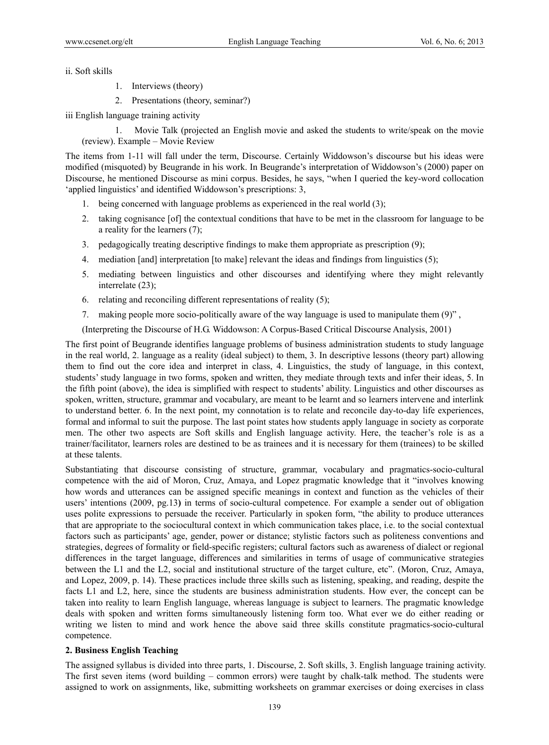ii. Soft skills

- 1. Interviews (theory)
- 2. Presentations (theory, seminar?)

iii English language training activity

1. Movie Talk (projected an English movie and asked the students to write/speak on the movie (review). Example – Movie Review

The items from 1-11 will fall under the term, Discourse. Certainly Widdowson's discourse but his ideas were modified (misquoted) by Beugrande in his work. In Beugrande's interpretation of Widdowson's (2000) paper on Discourse, he mentioned Discourse as mini corpus. Besides, he says, "when I queried the key-word collocation 'applied linguistics' and identified Widdowson's prescriptions: 3,

- 1. being concerned with language problems as experienced in the real world (3);
- 2. taking cognisance [of] the contextual conditions that have to be met in the classroom for language to be a reality for the learners (7);
- 3. pedagogically treating descriptive findings to make them appropriate as prescription (9);
- 4. mediation [and] interpretation [to make] relevant the ideas and findings from linguistics (5);
- 5. mediating between linguistics and other discourses and identifying where they might relevantly interrelate (23);
- 6. relating and reconciling different representations of reality (5);
- 7. making people more socio-politically aware of the way language is used to manipulate them (9)" ,

(Interpreting the Discourse of H.G. Widdowson: A Corpus-Based Critical Discourse Analysis, 2001)

The first point of Beugrande identifies language problems of business administration students to study language in the real world, 2. language as a reality (ideal subject) to them, 3. In descriptive lessons (theory part) allowing them to find out the core idea and interpret in class, 4. Linguistics, the study of language, in this context, students' study language in two forms, spoken and written, they mediate through texts and infer their ideas, 5. In the fifth point (above), the idea is simplified with respect to students' ability. Linguistics and other discourses as spoken, written, structure, grammar and vocabulary, are meant to be learnt and so learners intervene and interlink to understand better. 6. In the next point, my connotation is to relate and reconcile day-to-day life experiences, formal and informal to suit the purpose. The last point states how students apply language in society as corporate men. The other two aspects are Soft skills and English language activity. Here, the teacher's role is as a trainer/facilitator, learners roles are destined to be as trainees and it is necessary for them (trainees) to be skilled at these talents.

Substantiating that discourse consisting of structure, grammar, vocabulary and pragmatics-socio-cultural competence with the aid of Moron, Cruz, Amaya, and Lopez pragmatic knowledge that it "involves knowing how words and utterances can be assigned specific meanings in context and function as the vehicles of their users' intentions (2009, pg.13**)** in terms of socio-cultural competence. For example a sender out of obligation uses polite expressions to persuade the receiver. Particularly in spoken form, "the ability to produce utterances that are appropriate to the sociocultural context in which communication takes place, i.e. to the social contextual factors such as participants' age, gender, power or distance; stylistic factors such as politeness conventions and strategies, degrees of formality or field-specific registers; cultural factors such as awareness of dialect or regional differences in the target language, differences and similarities in terms of usage of communicative strategies between the L1 and the L2, social and institutional structure of the target culture, etc". (Moron, Cruz, Amaya, and Lopez, 2009, p. 14). These practices include three skills such as listening, speaking, and reading, despite the facts L1 and L2, here, since the students are business administration students. How ever, the concept can be taken into reality to learn English language, whereas language is subject to learners. The pragmatic knowledge deals with spoken and written forms simultaneously listening form too. What ever we do either reading or writing we listen to mind and work hence the above said three skills constitute pragmatics-socio-cultural competence.

#### **2. Business English Teaching**

The assigned syllabus is divided into three parts, 1. Discourse, 2. Soft skills, 3. English language training activity. The first seven items (word building – common errors) were taught by chalk-talk method. The students were assigned to work on assignments, like, submitting worksheets on grammar exercises or doing exercises in class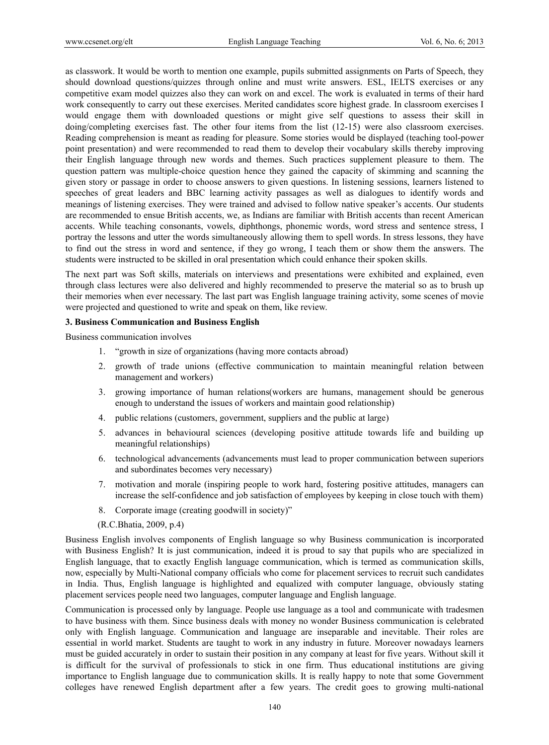as classwork. It would be worth to mention one example, pupils submitted assignments on Parts of Speech, they should download questions/quizzes through online and must write answers. ESL, IELTS exercises or any competitive exam model quizzes also they can work on and excel. The work is evaluated in terms of their hard work consequently to carry out these exercises. Merited candidates score highest grade. In classroom exercises I would engage them with downloaded questions or might give self questions to assess their skill in doing/completing exercises fast. The other four items from the list (12-15) were also classroom exercises. Reading comprehension is meant as reading for pleasure. Some stories would be displayed (teaching tool-power point presentation) and were recommended to read them to develop their vocabulary skills thereby improving their English language through new words and themes. Such practices supplement pleasure to them. The question pattern was multiple-choice question hence they gained the capacity of skimming and scanning the given story or passage in order to choose answers to given questions. In listening sessions, learners listened to speeches of great leaders and BBC learning activity passages as well as dialogues to identify words and meanings of listening exercises. They were trained and advised to follow native speaker's accents. Our students are recommended to ensue British accents, we, as Indians are familiar with British accents than recent American accents. While teaching consonants, vowels, diphthongs, phonemic words, word stress and sentence stress, I portray the lessons and utter the words simultaneously allowing them to spell words. In stress lessons, they have to find out the stress in word and sentence, if they go wrong, I teach them or show them the answers. The students were instructed to be skilled in oral presentation which could enhance their spoken skills.

The next part was Soft skills, materials on interviews and presentations were exhibited and explained, even through class lectures were also delivered and highly recommended to preserve the material so as to brush up their memories when ever necessary. The last part was English language training activity, some scenes of movie were projected and questioned to write and speak on them, like review.

#### **3. Business Communication and Business English**

Business communication involves

- 1. "growth in size of organizations (having more contacts abroad)
- 2. growth of trade unions (effective communication to maintain meaningful relation between management and workers)
- 3. growing importance of human relations(workers are humans, management should be generous enough to understand the issues of workers and maintain good relationship)
- 4. public relations (customers, government, suppliers and the public at large)
- 5. advances in behavioural sciences (developing positive attitude towards life and building up meaningful relationships)
- 6. technological advancements (advancements must lead to proper communication between superiors and subordinates becomes very necessary)
- 7. motivation and morale (inspiring people to work hard, fostering positive attitudes, managers can increase the self-confidence and job satisfaction of employees by keeping in close touch with them)
- 8. Corporate image (creating goodwill in society)"
- (R.C.Bhatia, 2009, p.4)

Business English involves components of English language so why Business communication is incorporated with Business English? It is just communication, indeed it is proud to say that pupils who are specialized in English language, that to exactly English language communication, which is termed as communication skills, now, especially by Multi-National company officials who come for placement services to recruit such candidates in India. Thus, English language is highlighted and equalized with computer language, obviously stating placement services people need two languages, computer language and English language.

Communication is processed only by language. People use language as a tool and communicate with tradesmen to have business with them. Since business deals with money no wonder Business communication is celebrated only with English language. Communication and language are inseparable and inevitable. Their roles are essential in world market. Students are taught to work in any industry in future. Moreover nowadays learners must be guided accurately in order to sustain their position in any company at least for five years. Without skill it is difficult for the survival of professionals to stick in one firm. Thus educational institutions are giving importance to English language due to communication skills. It is really happy to note that some Government colleges have renewed English department after a few years. The credit goes to growing multi-national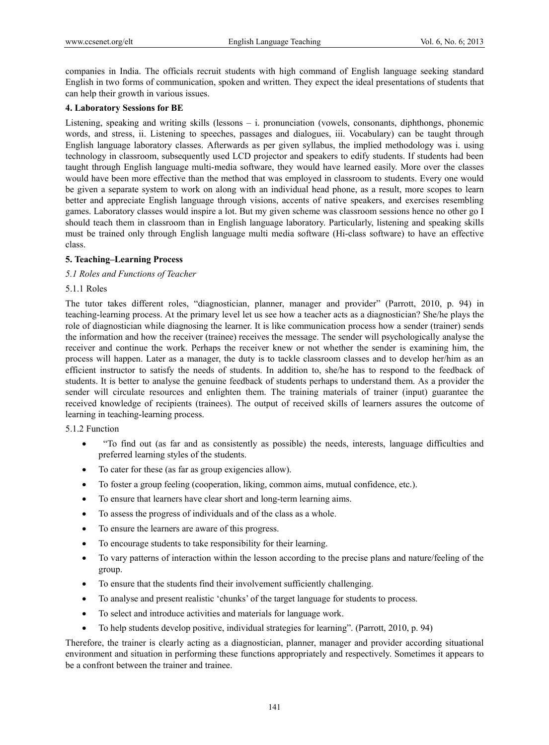companies in India. The officials recruit students with high command of English language seeking standard English in two forms of communication, spoken and written. They expect the ideal presentations of students that can help their growth in various issues.

### **4. Laboratory Sessions for BE**

Listening, speaking and writing skills (lessons – i. pronunciation (vowels, consonants, diphthongs, phonemic words, and stress, ii. Listening to speeches, passages and dialogues, iii. Vocabulary) can be taught through English language laboratory classes. Afterwards as per given syllabus, the implied methodology was i. using technology in classroom, subsequently used LCD projector and speakers to edify students. If students had been taught through English language multi-media software, they would have learned easily. More over the classes would have been more effective than the method that was employed in classroom to students. Every one would be given a separate system to work on along with an individual head phone, as a result, more scopes to learn better and appreciate English language through visions, accents of native speakers, and exercises resembling games. Laboratory classes would inspire a lot. But my given scheme was classroom sessions hence no other go I should teach them in classroom than in English language laboratory. Particularly, listening and speaking skills must be trained only through English language multi media software (Hi-class software) to have an effective class.

### **5. Teaching–Learning Process**

### *5.1 Roles and Functions of Teacher*

### 5.1.1 Roles

The tutor takes different roles, "diagnostician, planner, manager and provider" (Parrott, 2010, p. 94) in teaching-learning process. At the primary level let us see how a teacher acts as a diagnostician? She/he plays the role of diagnostician while diagnosing the learner. It is like communication process how a sender (trainer) sends the information and how the receiver (trainee) receives the message. The sender will psychologically analyse the receiver and continue the work. Perhaps the receiver knew or not whether the sender is examining him, the process will happen. Later as a manager, the duty is to tackle classroom classes and to develop her/him as an efficient instructor to satisfy the needs of students. In addition to, she/he has to respond to the feedback of students. It is better to analyse the genuine feedback of students perhaps to understand them. As a provider the sender will circulate resources and enlighten them. The training materials of trainer (input) guarantee the received knowledge of recipients (trainees). The output of received skills of learners assures the outcome of learning in teaching-learning process.

### 5.1.2 Function

- "To find out (as far and as consistently as possible) the needs, interests, language difficulties and preferred learning styles of the students.
- To cater for these (as far as group exigencies allow).
- To foster a group feeling (cooperation, liking, common aims, mutual confidence, etc.).
- To ensure that learners have clear short and long-term learning aims.
- To assess the progress of individuals and of the class as a whole.
- To ensure the learners are aware of this progress.
- To encourage students to take responsibility for their learning.
- To vary patterns of interaction within the lesson according to the precise plans and nature/feeling of the group.
- To ensure that the students find their involvement sufficiently challenging.
- To analyse and present realistic 'chunks' of the target language for students to process.
- To select and introduce activities and materials for language work.
- To help students develop positive, individual strategies for learning". (Parrott, 2010, p. 94)

Therefore, the trainer is clearly acting as a diagnostician, planner, manager and provider according situational environment and situation in performing these functions appropriately and respectively. Sometimes it appears to be a confront between the trainer and trainee.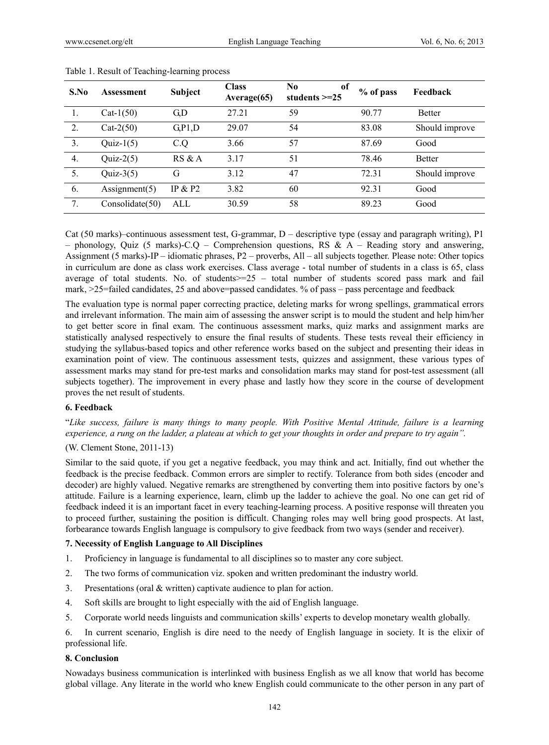| S.No           | Assessment       | <b>Subject</b> | <b>Class</b><br>Average(65) | No.<br>of<br>students $\geq$ = 25 | % of pass | Feedback       |
|----------------|------------------|----------------|-----------------------------|-----------------------------------|-----------|----------------|
|                | Cat- $1(50)$     | G <sub>n</sub> | 27.21                       | 59                                | 90.77     | <b>Better</b>  |
| 2.             | $Cat-2(50)$      | G.P1,D         | 29.07                       | 54                                | 83.08     | Should improve |
| 3.             | $Quiz-1(5)$      | C.Q            | 3.66                        | 57                                | 87.69     | Good           |
| 4 <sub>1</sub> | $Quiz-2(5)$      | RS & A         | 3.17                        | 51                                | 78.46     | <b>Better</b>  |
| 5.             | $Quiz-3(5)$      | G              | 3.12                        | 47                                | 72.31     | Should improve |
| 6.             | Assignment $(5)$ | IP & P2        | 3.82                        | 60                                | 92.31     | Good           |
| 7.             | Consolidate(50)  | ALL            | 30.59                       | 58                                | 89.23     | Good           |

#### Table 1. Result of Teaching-learning process

Cat (50 marks)–continuous assessment test, G-grammar, D – descriptive type (essay and paragraph writing), P1 – phonology, Quiz (5 marks)-C.Q – Comprehension questions, RS &  $A$  – Reading story and answering, Assignment (5 marks)-IP – idiomatic phrases, P2 – proverbs, All – all subjects together. Please note: Other topics in curriculum are done as class work exercises. Class average - total number of students in a class is 65, class average of total students. No. of students>=25 – total number of students scored pass mark and fail mark, >25=failed candidates, 25 and above=passed candidates. % of pass – pass percentage and feedback

The evaluation type is normal paper correcting practice, deleting marks for wrong spellings, grammatical errors and irrelevant information. The main aim of assessing the answer script is to mould the student and help him/her to get better score in final exam. The continuous assessment marks, quiz marks and assignment marks are statistically analysed respectively to ensure the final results of students. These tests reveal their efficiency in studying the syllabus-based topics and other reference works based on the subject and presenting their ideas in examination point of view. The continuous assessment tests, quizzes and assignment, these various types of assessment marks may stand for pre-test marks and consolidation marks may stand for post-test assessment (all subjects together). The improvement in every phase and lastly how they score in the course of development proves the net result of students.

### **6. Feedback**

"*Like success, failure is many things to many people. With Positive Mental Attitude, failure is a learning experience, a rung on the ladder, a plateau at which to get your thoughts in order and prepare to try again".* 

### (W. Clement Stone, 2011-13)

Similar to the said quote, if you get a negative feedback, you may think and act. Initially, find out whether the feedback is the precise feedback. Common errors are simpler to rectify. Tolerance from both sides (encoder and decoder) are highly valued. Negative remarks are strengthened by converting them into positive factors by one's attitude. Failure is a learning experience, learn, climb up the ladder to achieve the goal. No one can get rid of feedback indeed it is an important facet in every teaching-learning process. A positive response will threaten you to proceed further, sustaining the position is difficult. Changing roles may well bring good prospects. At last, forbearance towards English language is compulsory to give feedback from two ways (sender and receiver).

#### **7. Necessity of English Language to All Disciplines**

- 1. Proficiency in language is fundamental to all disciplines so to master any core subject.
- 2. The two forms of communication viz. spoken and written predominant the industry world.
- 3. Presentations (oral & written) captivate audience to plan for action.
- 4. Soft skills are brought to light especially with the aid of English language.
- 5. Corporate world needs linguists and communication skills' experts to develop monetary wealth globally.

6. In current scenario, English is dire need to the needy of English language in society. It is the elixir of professional life.

### **8. Conclusion**

Nowadays business communication is interlinked with business English as we all know that world has become global village. Any literate in the world who knew English could communicate to the other person in any part of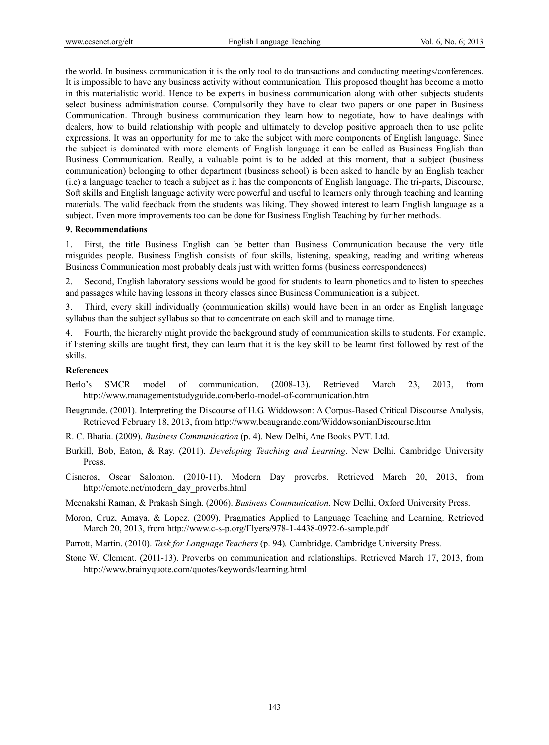the world. In business communication it is the only tool to do transactions and conducting meetings/conferences. It is impossible to have any business activity without communication*.* This proposed thought has become a motto in this materialistic world. Hence to be experts in business communication along with other subjects students select business administration course. Compulsorily they have to clear two papers or one paper in Business Communication. Through business communication they learn how to negotiate, how to have dealings with dealers, how to build relationship with people and ultimately to develop positive approach then to use polite expressions. It was an opportunity for me to take the subject with more components of English language. Since the subject is dominated with more elements of English language it can be called as Business English than Business Communication. Really, a valuable point is to be added at this moment, that a subject (business communication) belonging to other department (business school) is been asked to handle by an English teacher (i.e) a language teacher to teach a subject as it has the components of English language. The tri-parts, Discourse, Soft skills and English language activity were powerful and useful to learners only through teaching and learning materials. The valid feedback from the students was liking. They showed interest to learn English language as a subject. Even more improvements too can be done for Business English Teaching by further methods.

#### **9. Recommendations**

1. First, the title Business English can be better than Business Communication because the very title misguides people. Business English consists of four skills, listening, speaking, reading and writing whereas Business Communication most probably deals just with written forms (business correspondences)

2. Second, English laboratory sessions would be good for students to learn phonetics and to listen to speeches and passages while having lessons in theory classes since Business Communication is a subject.

3. Third, every skill individually (communication skills) would have been in an order as English language syllabus than the subject syllabus so that to concentrate on each skill and to manage time.

4. Fourth, the hierarchy might provide the background study of communication skills to students. For example, if listening skills are taught first, they can learn that it is the key skill to be learnt first followed by rest of the skills.

#### **References**

- Berlo's SMCR model of communication. (2008-13). Retrieved March 23, 2013, from http://www.managementstudyguide.com/berlo-model-of-communication.htm
- Beugrande. (2001). Interpreting the Discourse of H.G. Widdowson: A Corpus-Based Critical Discourse Analysis, Retrieved February 18, 2013, from http://www.beaugrande.com/WiddowsonianDiscourse.htm
- R. C. Bhatia. (2009). *Business Communication* (p. 4). New Delhi, Ane Books PVT. Ltd.
- Burkill, Bob, Eaton, & Ray. (2011). *Developing Teaching and Learning*. New Delhi. Cambridge University Press.
- Cisneros, Oscar Salomon. (2010-11). Modern Day proverbs. Retrieved March 20, 2013, from http://emote.net/modern\_day\_proverbs.html

Meenakshi Raman, & Prakash Singh. (2006). *Business Communication.* New Delhi, Oxford University Press.

Moron, Cruz, Amaya, & Lopez. (2009). Pragmatics Applied to Language Teaching and Learning. Retrieved March 20, 2013, from http://www.c-s-p.org/Flyers/978-1-4438-0972-6-sample.pdf

Parrott, Martin. (2010). *Task for Language Teachers* (p. 94)*.* Cambridge. Cambridge University Press.

Stone W. Clement. (2011-13). Proverbs on communication and relationships. Retrieved March 17, 2013, from http://www.brainyquote.com/quotes/keywords/learning.html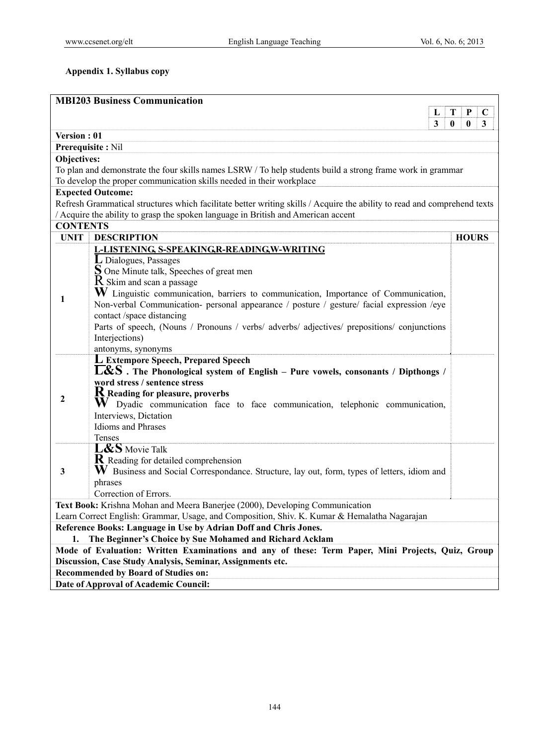## **Appendix 1. Syllabus copy**

|                                                                                                   | <b>MBI203 Business Communication</b>                                                                                     |                       |  |  |  |
|---------------------------------------------------------------------------------------------------|--------------------------------------------------------------------------------------------------------------------------|-----------------------|--|--|--|
|                                                                                                   | L                                                                                                                        | Т<br>P<br>$\mathbf C$ |  |  |  |
|                                                                                                   | 3                                                                                                                        | 0<br>0<br>3           |  |  |  |
| Version: 01                                                                                       |                                                                                                                          |                       |  |  |  |
|                                                                                                   | Prerequisite: Nil                                                                                                        |                       |  |  |  |
| Objectives:                                                                                       |                                                                                                                          |                       |  |  |  |
|                                                                                                   | To plan and demonstrate the four skills names LSRW / To help students build a strong frame work in grammar               |                       |  |  |  |
|                                                                                                   | To develop the proper communication skills needed in their workplace                                                     |                       |  |  |  |
|                                                                                                   | <b>Expected Outcome:</b>                                                                                                 |                       |  |  |  |
|                                                                                                   | Refresh Grammatical structures which facilitate better writing skills / Acquire the ability to read and comprehend texts |                       |  |  |  |
|                                                                                                   | / Acquire the ability to grasp the spoken language in British and American accent                                        |                       |  |  |  |
| <b>CONTENTS</b>                                                                                   |                                                                                                                          |                       |  |  |  |
| <b>UNIT</b>                                                                                       | <b>DESCRIPTION</b>                                                                                                       | <b>HOURS</b>          |  |  |  |
|                                                                                                   | L-LISTENING, S-SPEAKING, R-READING, W-WRITING                                                                            |                       |  |  |  |
|                                                                                                   | L Dialogues, Passages                                                                                                    |                       |  |  |  |
|                                                                                                   | Sone Minute talk, Speeches of great men                                                                                  |                       |  |  |  |
|                                                                                                   | R Skim and scan a passage                                                                                                |                       |  |  |  |
| 1                                                                                                 | $\mathbf W$ Linguistic communication, barriers to communication, Importance of Communication,                            |                       |  |  |  |
|                                                                                                   | Non-verbal Communication- personal appearance / posture / gesture/ facial expression /eye<br>contact /space distancing   |                       |  |  |  |
|                                                                                                   | Parts of speech, (Nouns / Pronouns / verbs/ adverbs/ adjectives/ prepositions/ conjunctions                              |                       |  |  |  |
|                                                                                                   | Interjections)                                                                                                           |                       |  |  |  |
|                                                                                                   | antonyms, synonyms                                                                                                       |                       |  |  |  |
|                                                                                                   | L Extempore Speech, Prepared Speech                                                                                      |                       |  |  |  |
|                                                                                                   | $\overline{\textbf{L}}$ &S. The Phonological system of English – Pure vowels, consonants / Dipthongs /                   |                       |  |  |  |
|                                                                                                   | word stress / sentence stress                                                                                            |                       |  |  |  |
|                                                                                                   | ${\bf R}$ Reading for pleasure, proverbs                                                                                 |                       |  |  |  |
| 2                                                                                                 | W Dyadic communication face to face communication, telephonic communication,                                             |                       |  |  |  |
|                                                                                                   | Interviews, Dictation                                                                                                    |                       |  |  |  |
|                                                                                                   | <b>Idioms</b> and Phrases                                                                                                |                       |  |  |  |
|                                                                                                   | Tenses                                                                                                                   |                       |  |  |  |
|                                                                                                   | L&S Movie Talk                                                                                                           |                       |  |  |  |
|                                                                                                   | <b>R</b> Reading for detailed comprehension                                                                              |                       |  |  |  |
| 3                                                                                                 | W Business and Social Correspondance. Structure, lay out, form, types of letters, idiom and                              |                       |  |  |  |
|                                                                                                   | phrases                                                                                                                  |                       |  |  |  |
|                                                                                                   | Correction of Errors.                                                                                                    |                       |  |  |  |
|                                                                                                   | Text Book: Krishna Mohan and Meera Banerjee (2000), Developing Communication                                             |                       |  |  |  |
|                                                                                                   | Learn Correct English: Grammar, Usage, and Composition, Shiv. K. Kumar & Hemalatha Nagarajan                             |                       |  |  |  |
|                                                                                                   | Reference Books: Language in Use by Adrian Doff and Chris Jones.                                                         |                       |  |  |  |
|                                                                                                   | The Beginner's Choice by Sue Mohamed and Richard Acklam                                                                  |                       |  |  |  |
| Mode of Evaluation: Written Examinations and any of these: Term Paper, Mini Projects, Quiz, Group |                                                                                                                          |                       |  |  |  |
| Discussion, Case Study Analysis, Seminar, Assignments etc.                                        |                                                                                                                          |                       |  |  |  |
| <b>Recommended by Board of Studies on:</b><br>Date of Approval of Academic Council:               |                                                                                                                          |                       |  |  |  |
|                                                                                                   |                                                                                                                          |                       |  |  |  |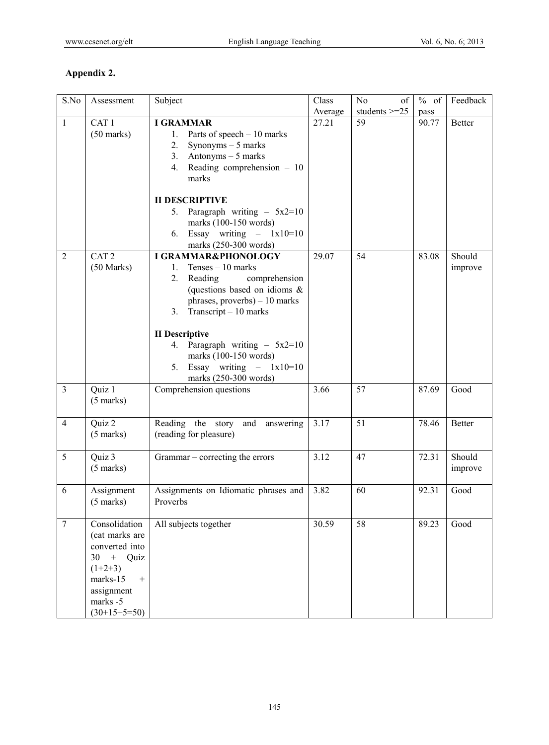# **Appendix 2.**

| S.No           | Assessment                   | Subject                               | Class   | No<br>of        | % of  | Feedback      |
|----------------|------------------------------|---------------------------------------|---------|-----------------|-------|---------------|
|                |                              |                                       | Average | students $>=25$ | pass  |               |
| $\mathbf{1}$   | CAT <sub>1</sub>             | <b>I GRAMMAR</b>                      | 27.21   | 59              | 90.77 | <b>Better</b> |
|                | $(50 \text{ marks})$         | Parts of speech $-10$ marks<br>1.     |         |                 |       |               |
|                |                              | 2.<br>Synonyms $-5$ marks             |         |                 |       |               |
|                |                              | Antonyms $-5$ marks<br>3.             |         |                 |       |               |
|                |                              | Reading comprehension $-10$<br>4.     |         |                 |       |               |
|                |                              | marks                                 |         |                 |       |               |
|                |                              |                                       |         |                 |       |               |
|                |                              | <b>II DESCRIPTIVE</b>                 |         |                 |       |               |
|                |                              | Paragraph writing $-5x2=10$<br>5.     |         |                 |       |               |
|                |                              | marks (100-150 words)                 |         |                 |       |               |
|                |                              | Essay writing $- 1x10=10$<br>6.       |         |                 |       |               |
|                |                              | marks (250-300 words)                 |         |                 |       |               |
| $\overline{2}$ | CAT <sub>2</sub>             | I GRAMMAR&PHONOLOGY                   | 29.07   | 54              | 83.08 | Should        |
|                | $(50 \text{ Marks})$         | $Tenses - 10 marks$<br>1.             |         |                 |       | improve       |
|                |                              | 2.<br>Reading<br>comprehension        |         |                 |       |               |
|                |                              | (questions based on idioms &          |         |                 |       |               |
|                |                              | phrases, proverbs) - 10 marks         |         |                 |       |               |
|                |                              | Transcript - 10 marks<br>3.           |         |                 |       |               |
|                |                              |                                       |         |                 |       |               |
|                |                              | <b>II</b> Descriptive                 |         |                 |       |               |
|                |                              | Paragraph writing $-5x^2=10$<br>4.    |         |                 |       |               |
|                |                              | marks (100-150 words)                 |         |                 |       |               |
|                |                              | Essay writing $- 1x10=10$<br>5.       |         |                 |       |               |
|                |                              | marks (250-300 words)                 |         |                 |       |               |
| $\overline{3}$ | Quiz 1                       | Comprehension questions               | 3.66    | 57              | 87.69 | Good          |
|                | $(5 \text{ marks})$          |                                       |         |                 |       |               |
|                |                              |                                       |         |                 |       |               |
| $\overline{4}$ | Quiz 2                       | Reading the story<br>and<br>answering | 3.17    | 51              | 78.46 | <b>Better</b> |
|                | $(5 \text{ marks})$          | (reading for pleasure)                |         |                 |       |               |
|                |                              |                                       |         |                 |       |               |
| 5              | Quiz 3                       | Grammar – correcting the errors       | 3.12    | 47              | 72.31 | Should        |
|                | $(5 \text{ marks})$          |                                       |         |                 |       | improve       |
|                |                              |                                       |         |                 |       |               |
| 6              | Assignment                   | Assignments on Idiomatic phrases and  | 3.82    | 60              | 92.31 | Good          |
|                | $(5 \text{ marks})$          | Proverbs                              |         |                 |       |               |
|                |                              |                                       |         |                 |       |               |
| $\overline{7}$ | Consolidation                | All subjects together                 | 30.59   | 58              | 89.23 | Good          |
|                | (cat marks are               |                                       |         |                 |       |               |
|                | converted into               |                                       |         |                 |       |               |
|                | + Quiz<br>30                 |                                       |         |                 |       |               |
|                | $(1+2+3)$                    |                                       |         |                 |       |               |
|                | marks-15<br>$\boldsymbol{+}$ |                                       |         |                 |       |               |
|                | assignment                   |                                       |         |                 |       |               |
|                | marks -5                     |                                       |         |                 |       |               |
|                | $(30+15+5=50)$               |                                       |         |                 |       |               |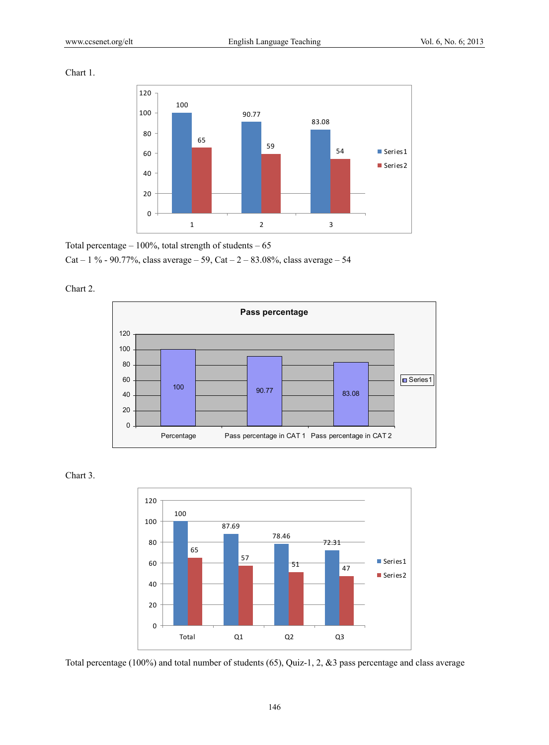Chart 1.



Total percentage  $-100\%$ , total strength of students  $-65$ Cat – 1 % - 90.77%, class average – 59, Cat –  $2 - 83.08\%$ , class average – 54



Chart 2.





Total percentage (100%) and total number of students (65), Quiz-1, 2, &3 pass percentage and class average